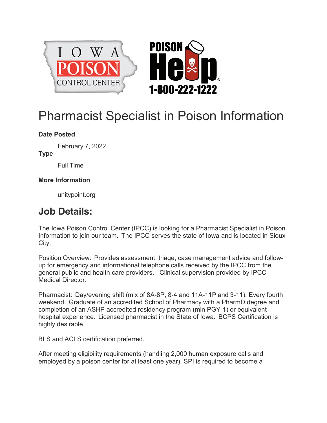



## Pharmacist Specialist in Poison Information

## **Date Posted**

February 7, 2022

**Type**

Full Time

## **More Information**

[unitypoint.org](http://unitypoint.org/)

## **Job Details:**

The Iowa Poison Control Center (IPCC) is looking for a Pharmacist Specialist in Poison Information to join our team. The IPCC serves the state of Iowa and is located in Sioux City.

Position Overview: Provides assessment, triage, case management advice and followup for emergency and informational telephone calls received by the IPCC from the general public and health care providers. Clinical supervision provided by IPCC Medical Director.

Pharmacist: Day/evening shift (mix of 8A-8P, 8-4 and 11A-11P and 3-11). Every fourth weekend. Graduate of an accredited School of Pharmacy with a PharmD degree and completion of an ASHP accredited residency program (min PGY-1) or equivalent hospital experience. Licensed pharmacist in the State of Iowa. BCPS Certification is highly desirable

BLS and ACLS certification preferred.

After meeting eligibility requirements (handling 2,000 human exposure calls and employed by a poison center for at least one year), SPI is required to become a